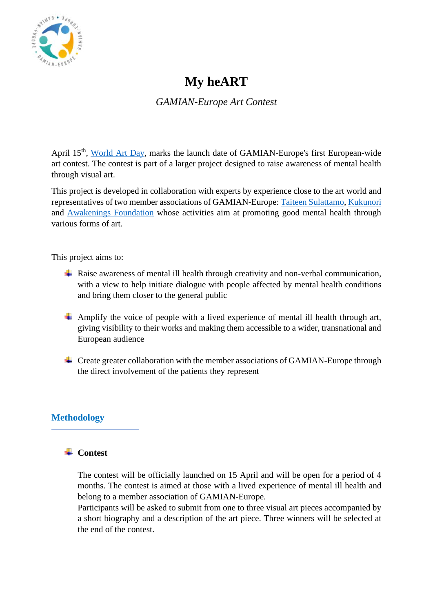

# **My heART**

*GAMIAN-Europe Art Contest*

April 15<sup>th</sup>, [World Art Day,](https://en.unesco.org/commemorations/worldartday) marks the launch date of GAMIAN-Europe's first European-wide art contest. The contest is part of a larger project designed to raise awareness of mental health through visual art.

This project is developed in collaboration with experts by experience close to the art world and representatives of two member associations of GAMIAN-Europe: [Taiteen Sulattamo,](https://taiteensulattamo.fi/) [Kukunori](https://www.kukunori.fi/about-kukunori/) and [Awakenings Foundation](http://ebredesek.hu/our-mission/) whose activities aim at promoting good mental health through various forms of art.

This project aims to:

- $\overline{\phantom{a}}$  Raise awareness of mental ill health through creativity and non-verbal communication, with a view to help initiate dialogue with people affected by mental health conditions and bring them closer to the general public
- Amplify the voice of people with a lived experience of mental ill health through art, giving visibility to their works and making them accessible to a wider, transnational and European audience
- $\overline{\phantom{a}}$  Create greater collaboration with the member associations of GAMIAN-Europe through the direct involvement of the patients they represent

# **Methodology**

# **↓** Contest

The contest will be officially launched on 15 April and will be open for a period of 4 months. The contest is aimed at those with a lived experience of mental ill health and belong to a member association of GAMIAN-Europe.

Participants will be asked to submit from one to three visual art pieces accompanied by a short biography and a description of the art piece. Three winners will be selected at the end of the contest.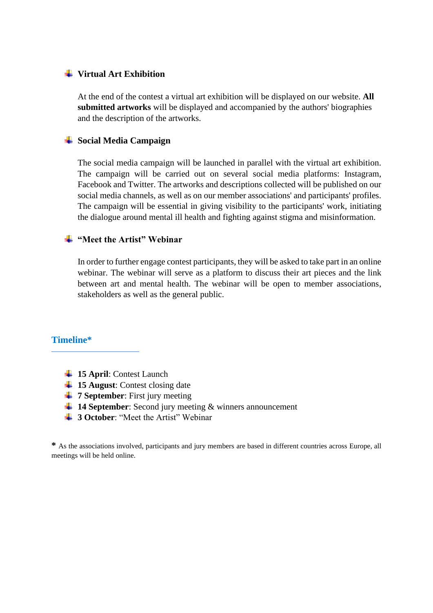#### **Virtual Art Exhibition**

At the end of the contest a virtual art exhibition will be displayed on our website. **All submitted artworks** will be displayed and accompanied by the authors' biographies and the description of the artworks.

## **Social Media Campaign**

The social media campaign will be launched in parallel with the virtual art exhibition. The campaign will be carried out on several social media platforms: Instagram, Facebook and Twitter. The artworks and descriptions collected will be published on our social media channels, as well as on our member associations' and participants' profiles. The campaign will be essential in giving visibility to the participants' work, initiating the dialogue around mental ill health and fighting against stigma and misinformation.

#### **"Meet the Artist" Webinar**

In order to further engage contest participants, they will be asked to take part in an online webinar. The webinar will serve as a platform to discuss their art pieces and the link between art and mental health. The webinar will be open to member associations, stakeholders as well as the general public.

# **Timeline\***

- **15 April**: Contest Launch
- $15$  **August**: Contest closing date
- **<sup>↓</sup> 7 September**: First jury meeting
- **14 September**: Second jury meeting & winners announcement
- **4 3 October:** "Meet the Artist" Webinar

**\*** As the associations involved, participants and jury members are based in different countries across Europe, all meetings will be held online.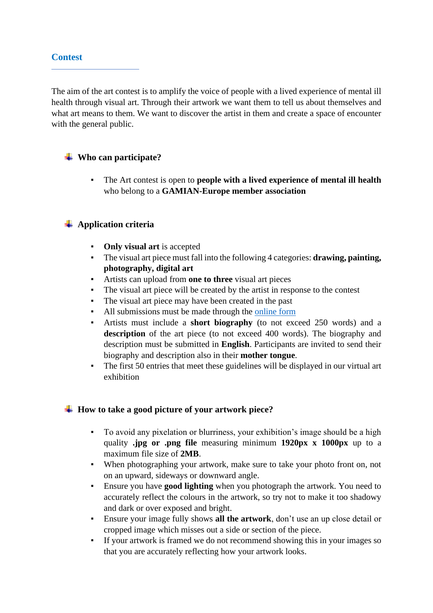## **Contest**

The aim of the art contest is to amplify the voice of people with a lived experience of mental ill health through visual art. Through their artwork we want them to tell us about themselves and what art means to them. We want to discover the artist in them and create a space of encounter with the general public.

# **Who can participate?**

The Art contest is open to **people with a lived experience of mental ill health** who belong to a **GAMIAN-Europe member association**

# **Application criteria**

- **Only visual art** is accepted
- The visual art piece must fall into the following 4 categories: **drawing, painting, photography, digital art**
- Artists can upload from **one to three** visual art pieces
- The visual art piece will be created by the artist in response to the contest
- The visual art piece may have been created in the past
- All submissions must be made through the [online form](https://docs.google.com/forms/d/e/1FAIpQLSeeHIx5jwqZWwlXJUsaVOUvS4r-jTnHDRz_6UNh_PqrLoB7QQ/viewform?usp=sf_link)
- Artists must include a **short biography** (to not exceed 250 words) and a description of the art piece (to not exceed 400 words). The biography and description must be submitted in **English**. Participants are invited to send their biography and description also in their **mother tongue**.
- The first 50 entries that meet these guidelines will be displayed in our virtual art exhibition

# **How to take a good picture of your artwork piece?**

- To avoid any pixelation or blurriness, your exhibition's image should be a high quality **.jpg or .png file** measuring minimum **1920px x 1000px** up to a maximum file size of **2MB**.
- When photographing your artwork, make sure to take your photo front on, not on an upward, sideways or downward angle.
- Ensure you have **good lighting** when you photograph the artwork. You need to accurately reflect the colours in the artwork, so try not to make it too shadowy and dark or over exposed and bright.
- Ensure your image fully shows **all the artwork**, don't use an up close detail or cropped image which misses out a side or section of the piece.
- If your artwork is framed we do not recommend showing this in your images so that you are accurately reflecting how your artwork looks.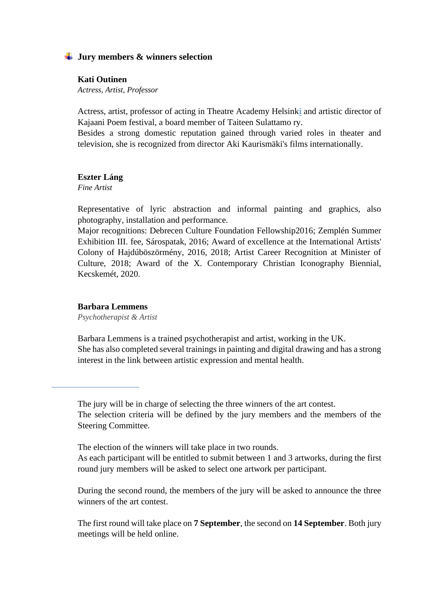#### **Jury members & winners selection**

#### **Kati Outinen**

*Actress, Artist, Professor* 

Actress, artist, professor of acting in Theatre Academy Helsin[ki](https://en.wikipedia.org/wiki/Theatre_Academy_(Finland)) and artistic director of Kajaani Poem festival, a board member of Taiteen Sulattamo ry.

Besides a strong domestic reputation gained through varied roles in theater and television, she is recognized from director Aki Kaurismäki's films internationally.

#### **Eszter Láng**

*Fine Artist*

Representative of lyric abstraction and informal painting and graphics, also photography, installation and performance.

Major recognitions: Debrecen Culture Foundation Fellowship2016; Zemplén Summer Exhibition III. fee, Sárospatak, 2016; Award of excellence at the International Artists' Colony of Hajdúböszörmény, 2016, 2018; Artist Career Recognition at Minister of Culture, 2018; Award of the X. Contemporary Christian Iconography Biennial, Kecskemét, 2020.

#### **Barbara Lemmens**

*Psychotherapist & Artist*

Barbara Lemmens is a trained psychotherapist and artist, working in the UK. She has also completed several trainings in painting and digital drawing and has a strong interest in the link between artistic expression and mental health.

The jury will be in charge of selecting the three winners of the art contest. The selection criteria will be defined by the jury members and the members of the Steering Committee.

The election of the winners will take place in two rounds.

As each participant will be entitled to submit between 1 and 3 artworks, during the first round jury members will be asked to select one artwork per participant.

During the second round, the members of the jury will be asked to announce the three winners of the art contest.

The first round will take place on **7 September**, the second on **14 September**. Both jury meetings will be held online.